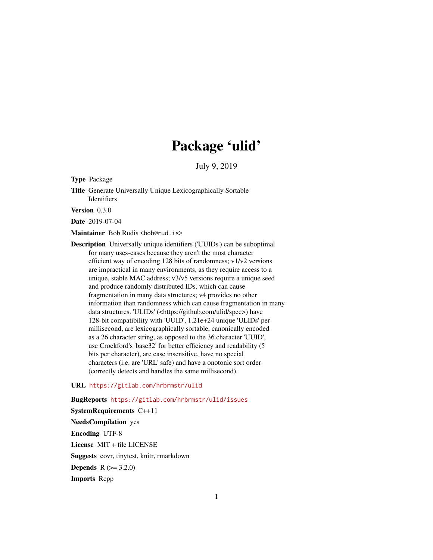# Package 'ulid'

July 9, 2019

Type Package

Title Generate Universally Unique Lexicographically Sortable Identifiers

Version 0.3.0

Date 2019-07-04

Maintainer Bob Rudis <bob@rud.is>

Description Universally unique identifiers ('UUIDs') can be suboptimal for many uses-cases because they aren't the most character efficient way of encoding 128 bits of randomness; v1/v2 versions are impractical in many environments, as they require access to a unique, stable MAC address; v3/v5 versions require a unique seed and produce randomly distributed IDs, which can cause fragmentation in many data structures; v4 provides no other information than randomness which can cause fragmentation in many data structures. 'ULIDs' (<https://github.com/ulid/spec>) have 128-bit compatibility with 'UUID', 1.21e+24 unique 'ULIDs' per millisecond, are lexicographically sortable, canonically encoded as a 26 character string, as opposed to the 36 character 'UUID', use Crockford's 'base32' for better efficiency and readability (5 bits per character), are case insensitive, have no special characters (i.e. are 'URL' safe) and have a onotonic sort order (correctly detects and handles the same millisecond).

#### URL <https://gitlab.com/hrbrmstr/ulid>

BugReports <https://gitlab.com/hrbrmstr/ulid/issues>

SystemRequirements C++11 NeedsCompilation yes Encoding UTF-8 License MIT + file LICENSE Suggests covr, tinytest, knitr, rmarkdown **Depends**  $R (= 3.2.0)$ Imports Rcpp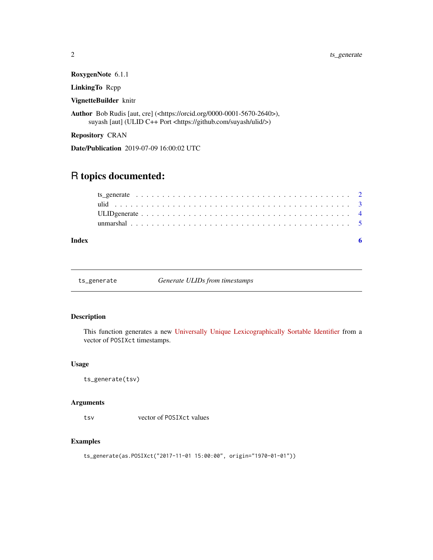RoxygenNote 6.1.1

LinkingTo Rcpp

VignetteBuilder knitr

Author Bob Rudis [aut, cre] (<https://orcid.org/0000-0001-5670-2640>), suyash [aut] (ULID C++ Port <https://github.com/suyash/ulid/>)

Repository CRAN

Date/Publication 2019-07-09 16:00:02 UTC

## R topics documented:

| Index |  |
|-------|--|

ts\_generate *Generate ULIDs from timestamps*

#### Description

This function generates a new [Universally Unique Lexicographically Sortable Identifier](https://github.com/ulid/spec) from a vector of POSIXct timestamps.

#### Usage

ts\_generate(tsv)

#### Arguments

tsv vector of POSIXct values

#### Examples

ts\_generate(as.POSIXct("2017-11-01 15:00:00", origin="1970-01-01"))

<span id="page-1-0"></span>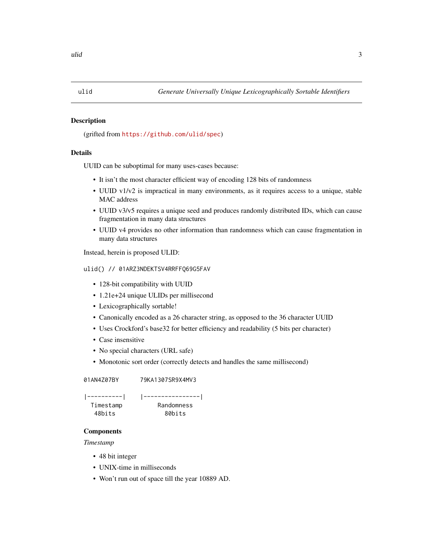#### <span id="page-2-0"></span>Description

(grifted from <https://github.com/ulid/spec>)

#### Details

UUID can be suboptimal for many uses-cases because:

- It isn't the most character efficient way of encoding 128 bits of randomness
- UUID v1/v2 is impractical in many environments, as it requires access to a unique, stable MAC address
- UUID v3/v5 requires a unique seed and produces randomly distributed IDs, which can cause fragmentation in many data structures
- UUID v4 provides no other information than randomness which can cause fragmentation in many data structures

Instead, herein is proposed ULID:

#### ulid() // 01ARZ3NDEKTSV4RRFFQ69G5FAV

- 128-bit compatibility with UUID
- 1.21e+24 unique ULIDs per millisecond
- Lexicographically sortable!
- Canonically encoded as a 26 character string, as opposed to the 36 character UUID
- Uses Crockford's base32 for better efficiency and readability (5 bits per character)
- Case insensitive
- No special characters (URL safe)
- Monotonic sort order (correctly detects and handles the same millisecond)

01AN4Z07BY 79KA1307SR9X4MV3

```
|----------| |----------------|
Timestamp Randomness
 48bits 80bits
```
#### **Components**

*Timestamp*

- 48 bit integer
- UNIX-time in milliseconds
- Won't run out of space till the year 10889 AD.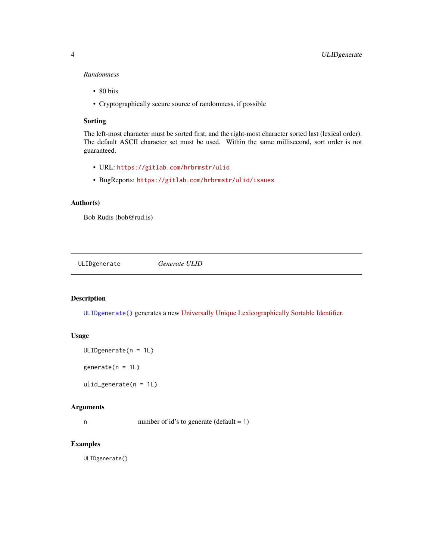#### <span id="page-3-0"></span>*Randomness*

- 80 bits
- Cryptographically secure source of randomness, if possible

#### Sorting

The left-most character must be sorted first, and the right-most character sorted last (lexical order). The default ASCII character set must be used. Within the same millisecond, sort order is not guaranteed.

- URL: <https://gitlab.com/hrbrmstr/ulid>
- BugReports: <https://gitlab.com/hrbrmstr/ulid/issues>

#### Author(s)

Bob Rudis (bob@rud.is)

<span id="page-3-1"></span>ULIDgenerate *Generate ULID*

#### Description

[ULIDgenerate\(\)](#page-3-1) generates a new [Universally Unique Lexicographically Sortable Identifier.](https://github.com/ulid/spec)

#### Usage

```
ULIDgenerate(n = 1L)
```
generate( $n = 1L$ )

ulid\_generate(n = 1L)

#### Arguments

n number of id's to generate (default  $= 1$ )

#### Examples

ULIDgenerate()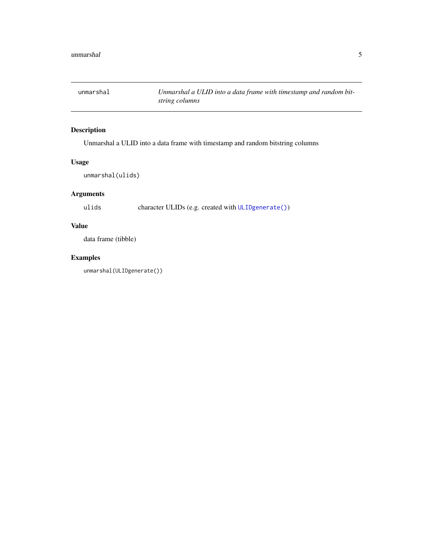<span id="page-4-0"></span>

## Description

Unmarshal a ULID into a data frame with timestamp and random bitstring columns

#### Usage

```
unmarshal(ulids)
```
#### Arguments

ulids character ULIDs (e.g. created with [ULIDgenerate\(\)](#page-3-1))

## Value

data frame (tibble)

## Examples

unmarshal(ULIDgenerate())